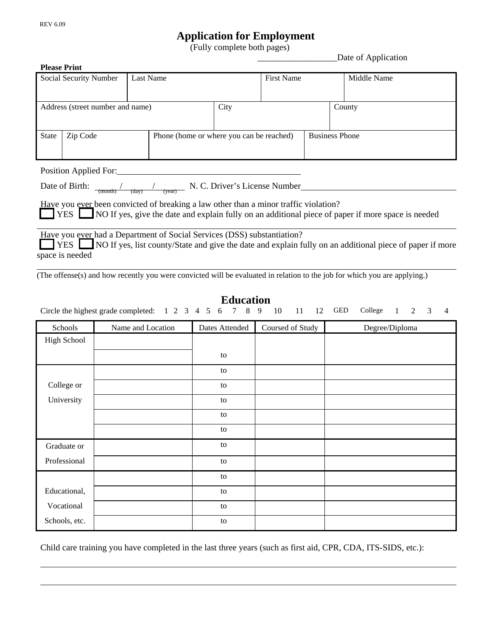l

## **Application for Employment** (Fully complete both pages) \_\_\_\_\_\_\_\_\_\_\_\_\_\_\_\_\_\_Date of Application

| <b>Please Print</b>                                                                                                                      |          |  |      |                                          |  |                       |  |  |
|------------------------------------------------------------------------------------------------------------------------------------------|----------|--|------|------------------------------------------|--|-----------------------|--|--|
| <b>Last Name</b><br>Social Security Number                                                                                               |          |  |      | <b>First Name</b>                        |  | Middle Name           |  |  |
|                                                                                                                                          |          |  |      |                                          |  |                       |  |  |
| Address (street number and name)                                                                                                         |          |  | City |                                          |  | County                |  |  |
|                                                                                                                                          |          |  |      |                                          |  |                       |  |  |
| <b>State</b>                                                                                                                             | Zip Code |  |      | Phone (home or where you can be reached) |  | <b>Business Phone</b> |  |  |
|                                                                                                                                          |          |  |      |                                          |  |                       |  |  |
| Position Applied For:                                                                                                                    |          |  |      |                                          |  |                       |  |  |
| Date of Birth: $\frac{1}{(\text{month})}$ $\frac{1}{(\text{day})}$ $\frac{1}{(\text{year})}$ N. C. Driver's License Number               |          |  |      |                                          |  |                       |  |  |
| <u>Have</u> you ever been convicted of breaking a law other than a minor traffic violation?                                              |          |  |      |                                          |  |                       |  |  |
| <b>EXECUTE:</b> NO If yes, give the date and explain fully on an additional piece of paper if more space is needed                       |          |  |      |                                          |  |                       |  |  |
| Have you ever had a Department of Social Services (DSS) substantiation?                                                                  |          |  |      |                                          |  |                       |  |  |
| <b>T</b> YES NO If yes, list county/State and give the date and explain fully on an additional piece of paper if more<br>space is needed |          |  |      |                                          |  |                       |  |  |
|                                                                                                                                          |          |  |      |                                          |  |                       |  |  |
| (The offense(s) and how recently you were convicted will be evaluated in relation to the job for which you are applying.)                |          |  |      |                                          |  |                       |  |  |

## **Education**

Circle the highest grade completed: 1 2 3 4 5 6 7 8 9 10 11 12 GED College 1 2 3 4

| Schools       | Name and Location | Dates Attended | Coursed of Study | Degree/Diploma |
|---------------|-------------------|----------------|------------------|----------------|
| High School   |                   |                |                  |                |
|               |                   | to             |                  |                |
|               |                   | to             |                  |                |
| College or    |                   | to             |                  |                |
| University    |                   | to             |                  |                |
|               |                   | to             |                  |                |
|               |                   | to             |                  |                |
| Graduate or   |                   | to             |                  |                |
| Professional  |                   | to             |                  |                |
|               |                   | to             |                  |                |
| Educational,  |                   | to             |                  |                |
| Vocational    |                   | to             |                  |                |
| Schools, etc. |                   | to             |                  |                |

Child care training you have completed in the last three years (such as first aid, CPR, CDA, ITS-SIDS, etc.):